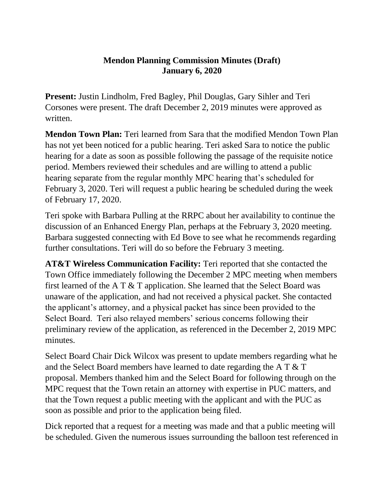## **Mendon Planning Commission Minutes (Draft) January 6, 2020**

**Present:** Justin Lindholm, Fred Bagley, Phil Douglas, Gary Sihler and Teri Corsones were present. The draft December 2, 2019 minutes were approved as written.

**Mendon Town Plan:** Teri learned from Sara that the modified Mendon Town Plan has not yet been noticed for a public hearing. Teri asked Sara to notice the public hearing for a date as soon as possible following the passage of the requisite notice period. Members reviewed their schedules and are willing to attend a public hearing separate from the regular monthly MPC hearing that's scheduled for February 3, 2020. Teri will request a public hearing be scheduled during the week of February 17, 2020.

Teri spoke with Barbara Pulling at the RRPC about her availability to continue the discussion of an Enhanced Energy Plan, perhaps at the February 3, 2020 meeting. Barbara suggested connecting with Ed Bove to see what he recommends regarding further consultations. Teri will do so before the February 3 meeting.

**AT&T Wireless Communication Facility:** Teri reported that she contacted the Town Office immediately following the December 2 MPC meeting when members first learned of the A T & T application. She learned that the Select Board was unaware of the application, and had not received a physical packet. She contacted the applicant's attorney, and a physical packet has since been provided to the Select Board. Teri also relayed members' serious concerns following their preliminary review of the application, as referenced in the December 2, 2019 MPC minutes.

Select Board Chair Dick Wilcox was present to update members regarding what he and the Select Board members have learned to date regarding the A T & T proposal. Members thanked him and the Select Board for following through on the MPC request that the Town retain an attorney with expertise in PUC matters, and that the Town request a public meeting with the applicant and with the PUC as soon as possible and prior to the application being filed.

Dick reported that a request for a meeting was made and that a public meeting will be scheduled. Given the numerous issues surrounding the balloon test referenced in